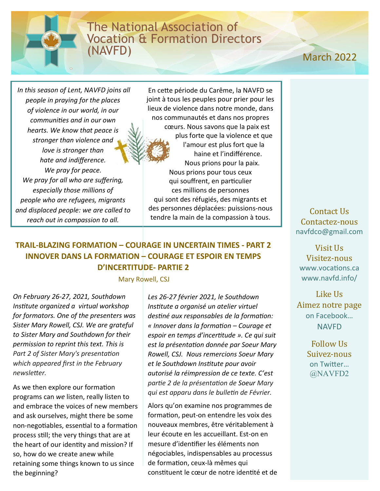## The National Association of Vocation & Formation Directors (NAVFD)

# March 2021 March 2022

*In this season of Lent, NAVFD joins all people in praying for the places of violence in our world, in our communities and in our own hearts. We know that peace is stronger than violence and love is stronger than hate and indifference. We pray for peace. We pray for all who are suffering, especially those millions of people who are refugees, migrants and displaced people: we are called to reach out in compassion to all.*

En cette période du Carême, la NAVFD se joint à tous les peuples pour prier pour les lieux de violence dans notre monde, dans nos communautés et dans nos propres cœurs. Nous savons que la paix est plus forte que la violence et que l'amour est plus fort que la haine et l'indifférence. Nous prions pour la paix. Nous prions pour tous ceux qui souffrent, en particulier ces millions de personnes qui sont des réfugiés, des migrants et des personnes déplacées: puissions-nous tendre la main de la compassion à tous.

## **TRAIL-BLAZING FORMATION – COURAGE IN UNCERTAIN TIMES - PART 2 INNOVER DANS LA FORMATION – COURAGE ET ESPOIR EN TEMPS D'INCERTITUDE- PARTIE 2**

Mary Rowell, CSJ

*On February 26-27, 2021, Southdown Institute organized a virtual workshop for formators. One of the presenters was Sister Mary Rowell, CSJ. We are grateful to Sister Mary and Southdown for their permission to reprint this text. This is Part 2 of Sister Mary's presentation which appeared first in the February newsletter.* 

As we then explore our formation programs can *we* listen, really listen to and embrace the voices of new members and ask ourselves, might there be some non-negotiables, essential to a formation process still; the very things that are at the heart of our identity and mission? If so, how do we create anew while retaining some things known to us since the beginning?

*Les 26-27 février 2021, le Southdown Institute a organisé un atelier virtuel destiné aux responsables de la formation: « Innover dans la formation – Courage et espoir en temps d'incertitude ». Ce qui suit est la présentation donnée par Soeur Mary Rowell, CSJ. Nous remercions Soeur Mary et le Southdown Institute pour avoir autorisé la réimpression de ce texte. C'est partie 2 de la présentation de Soeur Mary qui est apparu dans le bulletin de Février.*

Alors qu'on examine nos programmes de formation, peut-on entendre les voix des nouveaux membres, être véritablement à leur écoute en les accueillant. Est-on en mesure d'identifier les éléments non négociables, indispensables au processus de formation, ceux-là mêmes qui constituent le cœur de notre identité et de

Contact Us Contactez-nous navfdco@gmail.com

Visit Us Visitez-nous [www.vocations.ca](http://www.vocations.ca) [www.navfd.info/](http://www.vocations.ca)

Like Us Aimez notre page on Facebook… NAVFD

> Follow Us Suivez-nous on Twitter… @NAVFD2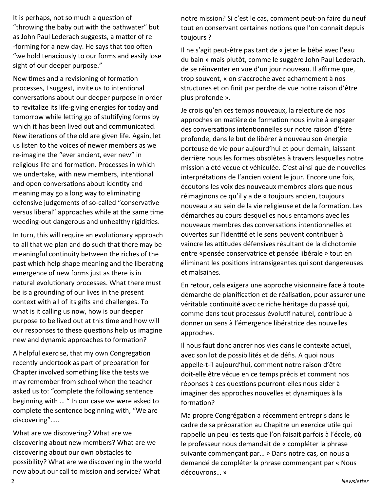It is perhaps, not so much a question of "throwing the baby out with the bathwater" but as John Paul Lederach suggests, a matter of re -forming for a new day. He says that too often "we hold tenaciously to our forms and easily lose sight of our deeper purpose."

New times and a revisioning of formation processes, I suggest, invite us to intentional conversations about our deeper purpose in order to revitalize its life-giving energies for today and tomorrow while letting go of stultifying forms by which it has been lived out and communicated. New iterations of the old are given life. Again, let us listen to the voices of newer members as we re-imagine the "ever ancient, ever new" in religious life and formation. Processes in which we undertake, with new members, intentional and open conversations about identity and meaning may go a long way to eliminating defensive judgements of so-called "conservative versus liberal" approaches while at the same time weeding-out dangerous and unhealthy rigidities.

In turn, this will require an evolutionary approach to all that we plan and do such that there may be meaningful continuity between the riches of the past which help shape meaning and the liberating emergence of new forms just as there is in natural evolutionary processes. What there must be is a grounding of our lives in the present context with all of its gifts and challenges. To what is it calling us now, how is our deeper purpose to be lived out at this time and how will our responses to these questions help us imagine new and dynamic approaches to formation?

A helpful exercise, that my own Congregation recently undertook as part of preparation for Chapter involved something like the tests we may remember from school when the teacher asked us to: "complete the following sentence beginning with … " In our case we were asked to complete the sentence beginning with, "We are discovering"…..

What are we discovering? What are we discovering about new members? What are we discovering about our own obstacles to possibility? What are we discovering in the world now about our call to mission and service? What

notre mission? Si c'est le cas, comment peut-on faire du neuf tout en conservant certaines notions que l'on connait depuis toujours ?

Il ne s'agit peut-être pas tant de « jeter le bébé avec l'eau du bain » mais plutôt, comme le suggère John Paul Lederach, de se réinventer en vue d'un jour nouveau. Il affirme que, trop souvent, « on s'accroche avec acharnement à nos structures et on finit par perdre de vue notre raison d'être plus profonde ».

Je crois qu'en ces temps nouveaux, la relecture de nos approches en matière de formation nous invite à engager des conversations intentionnelles sur notre raison d'être profonde, dans le but de libérer à nouveau son énergie porteuse de vie pour aujourd'hui et pour demain, laissant derrière nous les formes obsolètes à travers lesquelles notre mission a été vécue et véhiculée. C'est ainsi que de nouvelles interprétations de l'ancien voient le jour. Encore une fois, écoutons les voix des nouveaux membres alors que nous réimaginons ce qu'il y a de « toujours ancien, toujours nouveau » au sein de la vie religieuse et de la formation. Les démarches au cours desquelles nous entamons avec les nouveaux membres des conversations intentionnelles et ouvertes sur l'identité et le sens peuvent contribuer à vaincre les attitudes défensives résultant de la dichotomie entre «pensée conservatrice et pensée libérale » tout en éliminant les positions intransigeantes qui sont dangereuses et malsaines.

En retour, cela exigera une approche visionnaire face à toute démarche de planification et de réalisation, pour assurer une véritable continuité avec ce riche héritage du passé qui, comme dans tout processus évolutif naturel, contribue à donner un sens à l'émergence libératrice des nouvelles approches.

Il nous faut donc ancrer nos vies dans le contexte actuel, avec son lot de possibilités et de défis. A quoi nous appelle-t-il aujourd'hui, comment notre raison d'être doit-elle être vécue en ce temps précis et comment nos réponses à ces questions pourront-elles nous aider à imaginer des approches nouvelles et dynamiques à la formation?

Ma propre Congrégation a récemment entrepris dans le cadre de sa préparation au Chapitre un exercice utile qui rappelle un peu les tests que l'on faisait parfois à l'école, où le professeur nous demandait de « compléter la phrase suivante commençant par… » Dans notre cas, on nous a demandé de compléter la phrase commençant par « Nous découvrons… »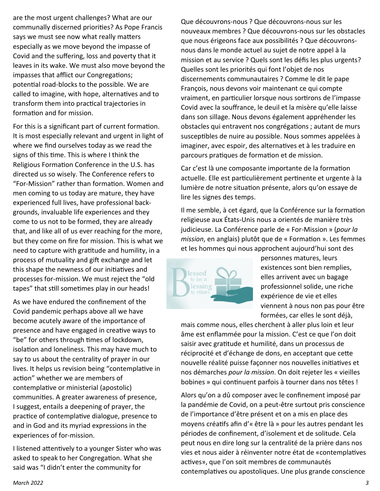are the most urgent challenges? What are our communally discerned priorities? As Pope Francis says we must see now what really matters especially as we move beyond the impasse of Covid and the suffering, loss and poverty that it leaves in its wake. We must also move beyond the impasses that afflict our Congregations; potential road-blocks to the possible. We are called to imagine, with hope, alternatives and to transform them into practical trajectories in formation and for mission.

For this is a significant part of current formation. It is most especially relevant and urgent in light of where we find ourselves today as we read the signs of this time. This is where I think the Religious Formation Conference in the U.S. has directed us so wisely. The Conference refers to "For-Mission" rather than formation. Women and men coming to us today are mature, they have experienced full lives, have professional backgrounds, invaluable life experiences and they come to us not to be formed, they are already that, and like all of us ever reaching for the more, but they come on fire for mission. This is what we need to capture with gratitude and humility, in a process of mutuality and gift exchange and let this shape the newness of our initiatives and processes for-mission. We must reject the "old tapes" that still sometimes play in our heads!

As we have endured the confinement of the Covid pandemic perhaps above all we have become acutely aware of the importance of presence and have engaged in creative ways to "be" for others through times of lockdown, isolation and loneliness. This may have much to say to us about the centrality of prayer in our lives. It helps us revision being "contemplative in action" whether we are members of contemplative or ministerial (apostolic) communities. A greater awareness of presence, I suggest, entails a deepening of prayer, the practice of contemplative dialogue, presence to and in God and its myriad expressions in the experiences of for-mission.

I listened attentively to a younger Sister who was asked to speak to her Congregation. What she said was "I didn't enter the community for

Que découvrons-nous ? Que découvrons-nous sur les nouveaux membres ? Que découvrons-nous sur les obstacles que nous érigeons face aux possibilités ? Que découvronsnous dans le monde actuel au sujet de notre appel à la mission et au service ? Quels sont les défis les plus urgents? Quelles sont les priorités qui font l'objet de nos discernements communautaires ? Comme le dit le pape François, nous devons voir maintenant ce qui compte vraiment, en particulier lorsque nous sortirons de l'impasse Covid avec la souffrance, le deuil et la misère qu'elle laisse dans son sillage. Nous devons également appréhender les obstacles qui entravent nos congrégations ; autant de murs susceptibles de nuire au possible. Nous sommes appelées à imaginer, avec espoir, des alternatives et à les traduire en parcours pratiques de formation et de mission.

Car c'est là une composante importante de la formation actuelle. Elle est particulièrement pertinente et urgente à la lumière de notre situation présente, alors qu'on essaye de lire les signes des temps.

Il me semble, à cet égard, que la Conférence sur la formation religieuse aux États-Unis nous a orientés de manière très judicieuse. La Conférence parle de « For-Mission » (*pour la mission*, en anglais) plutôt que de « Formation ». Les femmes et les hommes qui nous approchent aujourd'hui sont des



personnes matures, leurs existences sont bien remplies, elles arrivent avec un bagage professionnel solide, une riche expérience de vie et elles viennent à nous non pas pour être formées, car elles le sont déjà,

mais comme nous, elles cherchent à aller plus loin et leur âme est enflammée pour la mission. C'est ce que l'on doit saisir avec gratitude et humilité, dans un processus de réciprocité et d'échange de dons, en acceptant que cette nouvelle réalité puisse façonner nos nouvelles initiatives et nos démarches *pour la mission*. On doit rejeter les « vieilles bobines » qui continuent parfois à tourner dans nos têtes !

Alors qu'on a dû composer avec le confinement imposé par la pandémie de Covid, on a peut-être surtout pris conscience de l'importance d'être présent et on a mis en place des moyens créatifs afin d'« être là » pour les autres pendant les périodes de confinement, d'isolement et de solitude. Cela peut nous en dire long sur la centralité de la prière dans nos vies et nous aider à réinventer notre état de «contemplatives actives», que l'on soit membres de communautés contemplatives ou apostoliques. Une plus grande conscience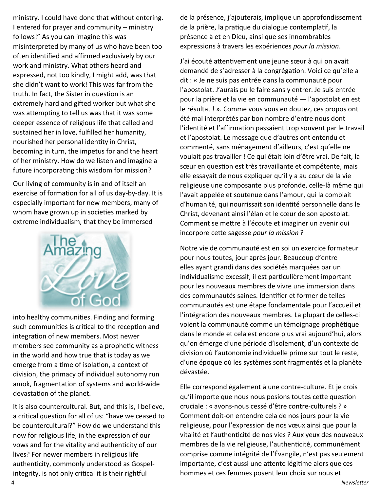ministry. I could have done that without entering. I entered for prayer and community – ministry follows!" As you can imagine this was misinterpreted by many of us who have been too often identified and affirmed exclusively by our work and ministry. What others heard and expressed, not too kindly, I might add, was that she didn't want to work! This was far from the truth. In fact, the Sister in question is an extremely hard and gifted worker but what she was attempting to tell us was that it was some deeper essence of religious life that called and sustained her in love, fulfilled her humanity, nourished her personal identity in Christ, becoming in turn, the impetus for and the heart of her ministry. How do we listen and imagine a future incorporating this wisdom for mission?

Our living of community is in and of itself an exercise of formation for all of us day-by-day. It is especially important for new members, many of whom have grown up in societies marked by extreme individualism, that they be immersed



into healthy communities. Finding and forming such communities is critical to the reception and integration of new members. Most newer members see community as a prophetic witness in the world and how true that is today as we emerge from a time of isolation, a context of division, the primacy of individual autonomy run amok, fragmentation of systems and world-wide devastation of the planet.

It is also countercultural. But, and this is, I believe, a critical question for all of us: "have we ceased to be countercultural?" How do we understand this now for religious life, in the expression of our vows and for the vitality and authenticity of our lives? For newer members in religious life authenticity, commonly understood as Gospelintegrity, is not only critical it is their rightful

de la présence, j'ajouterais, implique un approfondissement de la prière, la pratique du dialogue contemplatif, la présence à et en Dieu, ainsi que ses innombrables expressions à travers les expériences *pour la mission*.

J'ai écouté attentivement une jeune sœur à qui on avait demandé de s'adresser à la congrégation. Voici ce qu'elle a dit : « Je ne suis pas entrée dans la communauté pour l'apostolat. J'aurais pu le faire sans y entrer. Je suis entrée pour la prière et la vie en communauté — l'apostolat en est le résultat ! ». Comme vous vous en doutez, ces propos ont été mal interprétés par bon nombre d'entre nous dont l'identité et l'affirmation passaient trop souvent par le travail et l'apostolat. Le message que d'autres ont entendu et commenté, sans ménagement d'ailleurs, c'est qu'elle ne voulait pas travailler ! Ce qui était loin d'être vrai. De fait, la sœur en question est très travaillante et compétente, mais elle essayait de nous expliquer qu'il y a au cœur de la vie religieuse une composante plus profonde, celle-là même qui l'avait appelée et soutenue dans l'amour, qui la comblait d'humanité, qui nourrissait son identité personnelle dans le Christ, devenant ainsi l'élan et le cœur de son apostolat. Comment se mettre à l'écoute et imaginer un avenir qui incorpore cette sagesse *pour la mission* ?

Notre vie de communauté est en soi un exercice formateur pour nous toutes, jour après jour. Beaucoup d'entre elles ayant grandi dans des sociétés marquées par un individualisme excessif, il est particulièrement important pour les nouveaux membres de vivre une immersion dans des communautés saines. Identifier et former de telles communautés est une étape fondamentale pour l'accueil et l'intégration des nouveaux membres. La plupart de celles-ci voient la communauté comme un témoignage prophétique dans le monde et cela est encore plus vrai aujourd'hui, alors qu'on émerge d'une période d'isolement, d'un contexte de division où l'autonomie individuelle prime sur tout le reste, d'une époque où les systèmes sont fragmentés et la planète dévastée.

Elle correspond également à une contre-culture. Et je crois qu'il importe que nous nous posions toutes cette question cruciale : « avons-nous cessé d'être contre-culturels ? » Comment doit-on entendre cela de nos jours pour la vie religieuse, pour l'expression de nos vœux ainsi que pour la vitalité et l'authenticité de nos vies ? Aux yeux des nouveaux membres de la vie religieuse, l'authenticité, communément comprise comme intégrité de l'Évangile, n'est pas seulement importante, c'est aussi une attente légitime alors que ces hommes et ces femmes posent leur choix sur nous et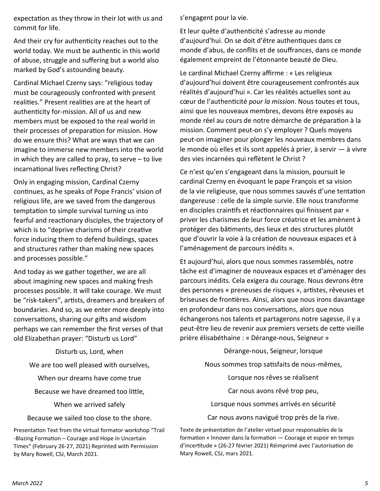expectation as they throw in their lot with us and commit for life.

And their cry for authenticity reaches out to the world today. We must be authentic in this world of abuse, struggle and suffering but a world also marked by God's astounding beauty.

Cardinal Michael Czerny says: "religious today must be courageously confronted with present realities." Present realities are at the heart of authenticity for-mission. All of us and new members must be exposed to the real world in their processes of preparation for mission. How do we ensure this? What are ways that we can imagine to immerse new members into the world in which they are called to pray, to serve – to live incarnational lives reflecting Christ?

Only in engaging mission, Cardinal Czerny continues, as he speaks of Pope Francis' vision of religious life, are we saved from the dangerous temptation to simple survival turning us into fearful and reactionary disciples, the trajectory of which is to "deprive charisms of their creative force inducing them to defend buildings, spaces and structures rather than making new spaces and processes possible."

And today as we gather together, we are all about imagining new spaces and making fresh processes possible. It will take courage. We must be "risk-takers", artists, dreamers and breakers of boundaries. And so, as we enter more deeply into conversations, sharing our gifts and wisdom perhaps we can remember the first verses of that old Elizabethan prayer: "Disturb us Lord"

Disturb us, Lord, when

We are too well pleased with ourselves,

When our dreams have come true

Because we have dreamed too little,

When we arrived safely

Because we sailed too close to the shore.

Presentation Text from the virtual formator workshop "Trail -Blazing Formation – Courage and Hope in Uncertain Times" (February 26-27, 2021) Reprinted with Permission by Mary Rowell, CSJ, March 2021.

s'engagent pour la vie.

Et leur quête d'authenticité s'adresse au monde d'aujourd'hui. On se doit d'être authentiques dans ce monde d'abus, de conflits et de souffrances, dans ce monde également empreint de l'étonnante beauté de Dieu.

Le cardinal Michael Czerny affirme : « Les religieux d'aujourd'hui doivent être courageusement confrontés aux réalités d'aujourd'hui ». Car les réalités actuelles sont au cœur de l'authenticité *pour la mission*. Nous toutes et tous, ainsi que les nouveaux membres, devons être exposés au monde réel au cours de notre démarche de préparation à la mission. Comment peut-on s'y employer ? Quels moyens peut-on imaginer pour plonger les nouveaux membres dans le monde où elles et ils sont appelés à prier, à servir — à vivre des vies incarnées qui reflètent le Christ ?

Ce n'est qu'en s'engageant dans la mission, poursuit le cardinal Czerny en évoquant le pape François et sa vision de la vie religieuse, que nous sommes sauvés d'une tentation dangereuse : celle de la simple survie. Elle nous transforme en disciples craintifs et réactionnaires qui finissent par «  priver les charismes de leur force créatrice et les amènent à protéger des bâtiments, des lieux et des structures plutôt que d'ouvrir la voie à la création de nouveaux espaces et à l'aménagement de parcours inédits ».

Et aujourd'hui, alors que nous sommes rassemblés, notre tâche est d'imaginer de nouveaux espaces et d'aménager des parcours inédits. Cela exigera du courage. Nous devrons être des personnes « preneuses de risques », artistes, rêveuses et briseuses de frontières. Ainsi, alors que nous irons davantage en profondeur dans nos conversations, alors que nous échangerons nos talents et partagerons notre sagesse, il y a peut-être lieu de revenir aux premiers versets de cette vieille prière élisabéthaine : « Dérange-nous, Seigneur »

Dérange-nous, Seigneur, lorsque

Nous sommes trop satisfaits de nous-mêmes,

Lorsque nos rêves se réalisent

Car nous avons rêvé trop peu,

Lorsque nous sommes arrivés en sécurité

Car nous avons navigué trop près de la rive.

Texte de présentation de l'atelier virtuel pour responsables de la formation « Innover dans la formation — Courage et espoir en temps d'incertitude » (26-27 février 2021) Réimprimé avec l'autorisation de Mary Rowell, CSJ, mars 2021.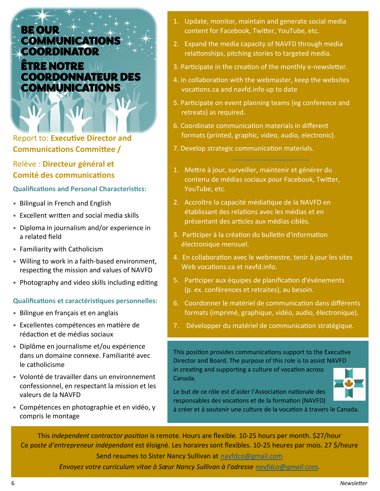## BE OUR COMMUNICATIONS **COORDINATOR ÊTRE NOTRE NIV** COORDONNATEUR DES COMMUNICATIONS

Report to: **Executive Director and Communications Committee /**

## Relève : **Directeur général et Comité des communications**

#### **Qualifications and Personal Characteristics:**

- Bilingual in French and English
- Excellent written and social media skills
- Diploma in journalism and/or experience in a related field
- Familiarity with Catholicism
- Willing to work in a faith-based environment, respecting the mission and values of NAVFD
- Photography and video skills including editing

#### **Qualifications et caractéristiques personnelles:**

- Bilingue en français et en anglais
- Excellentes compétences en matière de rédaction et de médias sociaux
- Diplôme en journalisme et/ou expérience dans un domaine connexe. Familiarité avec le catholicisme
- Volonté de travailler dans un environnement confessionnel, en respectant la mission et les valeurs de la NAVFD
- Compétences en photographie et en vidéo, y compris le montage
- 1. Update, monitor, maintain and generate social media content for Facebook, Twitter, YouTube, etc.
- 2. Expand the media capacity of NAVFD through media relationships, pitching stories to targeted media.
- 3. Participate in the creation of the monthly e-newsletter.
- 4. In collaboration with the webmaster, keep the websites vocations.ca and navfd.info up to date
- 5. Participate on event planning teams (eg conference and retreats) as required.
- 6. Coordinate communication materials in different formats (printed, graphic, video, audio, electronic).
- 7. Develop strategic communication materials.
- 1. Mettre à jour, surveiller, maintenir et générer du contenu de médias sociaux pour Facebook, Twitter, YouTube, etc.
- 2. Accroître la capacité médiatique de la NAVFD en établissant des relations avec les médias et en présentant des articles aux médias ciblés.
- 3. Participer à la création du bulletin d'information électronique mensuel.
- 4. En collaboration avec le webmestre, tenir à jour les sites Web vocations.ca et navfd.info.
- 5. Participer aux équipes de planification d'événements (p. ex. conférences et retraites), au besoin.
- 6. Coordonner le matériel de communication dans différents formats (imprimé, graphique, vidéo, audio, électronique).
- 7. Développer du matériel de communication stratégique.

This position provides communications support to the Executive Director and Board. The purpose of this role is to assist NAVFD in creating and supporting a culture of vocation across Canada.



Le but de ce rôle est d'aider l'Association nationale des responsables des vocations et de la formation (NAVFD)

à créer et à soutenir une culture de la vocation à travers le Canada.

This *independent contractor position* is remote. Hours are flexible. 10-25 hours per month. \$27/hour Ce *poste d'entrepreneur indépendant* est éloigné. Les horaires sont flexibles. 10-25 heures par mois. 27 \$/heure Send resumes to Sister Nancy Sullivan at [navfdco@gmail.com](mailto:navfdco@gmail.com)

*Envoyez votre curriculum vitae à Sœur Nancy Sullivan à l'adresse [navfdco@gmail.com.](mailto:navfdco@gmail.com)*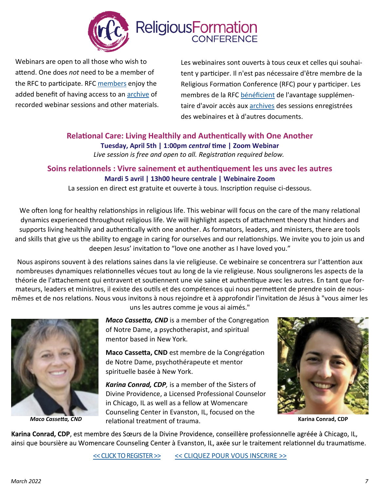

Webinars are open to all those who wish to attend. One does *not* need to be a member of the RFC to participate. RFC [members](https://nam12.safelinks.protection.outlook.com/?url=https%3A%2F%2Fwww.relforcon.org%2Fmembership&data=04%7C01%7C%7Ce5ce576148034a52bd0608da05fb9499%7C84df9e7fe9f640afb435aaaaaaaaaaaa%7C1%7C0%7C637828875468381260%7CUnknown%7CTWFpbGZsb3d8eyJWIjoiMC4wLjAwMDAiLCJ) enjoy the added benefit of having access to an **[archive](https://nam12.safelinks.protection.outlook.com/?url=https%3A%2F%2Fwww.relforcon.org%2Fvideo%2Fwebinar&data=04%7C01%7C%7Ce5ce576148034a52bd0608da05fb9499%7C84df9e7fe9f640afb435aaaaaaaaaaaa%7C1%7C0%7C637828875468381260%7CUnknown%7CTWFpbGZsb3d8eyJWIjoiMC4wLjAwMD)** of recorded webinar sessions and other materials.

Les webinaires sont ouverts à tous ceux et celles qui souhaitent y participer. Il n'est pas nécessaire d'être membre de la Religious Formation Conference (RFC) pour y participer. Les membres de la RFC [bénéficient](https://www.relforcon.org/membership) de l'avantage supplémentaire d'avoir accès aux [archives](https://www.relforcon.org/video/webinar) des sessions enregistrées des webinaires et à d'autres documents.

#### **Relational Care: Living Healthily and Authentically with One Another Tuesday, April 5th | 1:00pm** *central* **time | Zoom Webinar** *Live session is free and open to all. Registration required below.*

### **Soins relationnels : Vivre sainement et authentiquement les uns avec les autres Mardi 5 avril | 13h00 heure centrale | Webinaire Zoom**

La session en direct est gratuite et ouverte à tous. Inscription requise ci-dessous.

We often long for healthy relationships in religious life. This webinar will focus on the care of the many relational dynamics experienced throughout religious life. We will highlight aspects of attachment theory that hinders and supports living healthily and authentically with one another. As formators, leaders, and ministers, there are tools and skills that give us the ability to engage in caring for ourselves and our relationships. We invite you to join us and deepen Jesus' invitation to "love one another as I have loved you."

Nous aspirons souvent à des relations saines dans la vie religieuse. Ce webinaire se concentrera sur l'attention aux nombreuses dynamiques relationnelles vécues tout au long de la vie religieuse. Nous soulignerons les aspects de la théorie de l'attachement qui entravent et soutiennent une vie saine et authentique avec les autres. En tant que formateurs, leaders et ministres, il existe des outils et des compétences qui nous permettent de prendre soin de nousmêmes et de nos relations. Nous vous invitons à nous rejoindre et à approfondir l'invitation de Jésus à "vous aimer les



uns les autres comme je vous ai aimés."

*Maco Cassetta, CND* is a member of the Congregation of Notre Dame, a psychotherapist, and spiritual mentor based in New York.

**Maco Cassetta, CND** est membre de la Congrégation de Notre Dame, psychothérapeute et mentor spirituelle basée à New York.

*Karina Conrad, CDP,* is a member of the Sisters of Divine Providence, a Licensed Professional Counselor in Chicago, IL as well as a fellow at Womencare Counseling Center in Evanston, IL, focused on the relational treatment of trauma. *Maco Cassetta, CND* **Karina Conrad, CDP**



Karina Conrad, CDP, est membre des Sœurs de la Divine Providence, conseillère professionnelle agréée à Chicago, IL, ainsi que boursière au Womencare Counseling Center à Evanston, IL, axée sur le traitement relationnel du traumatisme.

[<< CLICK TO REGISTER >>](https://nam12.safelinks.protection.outlook.com/?url=https%3A%2F%2Fus02web.zoom.us%2Fwebinar%2Fregister%2FWN_hNDd1GstRSKe6cJc_t9jKg&data=04%7C01%7C%7Ce5ce576148034a52bd0608da05fb9499%7C84df9e7fe9f640afb435aaaaaaaaaaaa%7C1%7C0%7C637828875468381260%7CUnknown%7CT) [<< CLIQUEZ POUR VOUS INSCRIRE >>](https://us02web.zoom.us/webinar/register/WN_hNDd1GstRSKe6cJc_t9jKg)